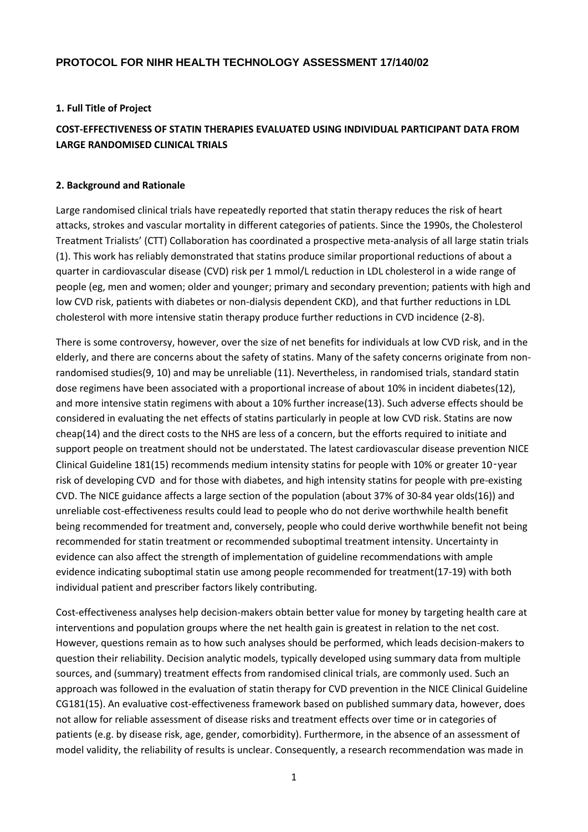# **PROTOCOL FOR NIHR HEALTH TECHNOLOGY ASSESSMENT 17/140/02**

### **1. Full Title of Project**

# **COST-EFFECTIVENESS OF STATIN THERAPIES EVALUATED USING INDIVIDUAL PARTICIPANT DATA FROM LARGE RANDOMISED CLINICAL TRIALS**

#### **2. Background and Rationale**

Large randomised clinical trials have repeatedly reported that statin therapy reduces the risk of heart attacks, strokes and vascular mortality in different categories of patients. Since the 1990s, the Cholesterol Treatment Trialists' (CTT) Collaboration has coordinated a prospective meta-analysis of all large statin trials (1). This work has reliably demonstrated that statins produce similar proportional reductions of about a quarter in cardiovascular disease (CVD) risk per 1 mmol/L reduction in LDL cholesterol in a wide range of people (eg, men and women; older and younger; primary and secondary prevention; patients with high and low CVD risk, patients with diabetes or non-dialysis dependent CKD), and that further reductions in LDL cholesterol with more intensive statin therapy produce further reductions in CVD incidence (2-8).

There is some controversy, however, over the size of net benefits for individuals at low CVD risk, and in the elderly, and there are concerns about the safety of statins. Many of the safety concerns originate from nonrandomised studies(9, 10) and may be unreliable (11). Nevertheless, in randomised trials, standard statin dose regimens have been associated with a proportional increase of about 10% in incident diabetes(12), and more intensive statin regimens with about a 10% further increase(13). Such adverse effects should be considered in evaluating the net effects of statins particularly in people at low CVD risk. Statins are now cheap(14) and the direct costs to the NHS are less of a concern, but the efforts required to initiate and support people on treatment should not be understated. The latest cardiovascular disease prevention NICE Clinical Guideline 181(15) recommends medium intensity statins for people with 10% or greater 10‑year risk of developing CVD and for those with diabetes, and high intensity statins for people with pre-existing CVD. The NICE guidance affects a large section of the population (about 37% of 30-84 year olds(16)) and unreliable cost-effectiveness results could lead to people who do not derive worthwhile health benefit being recommended for treatment and, conversely, people who could derive worthwhile benefit not being recommended for statin treatment or recommended suboptimal treatment intensity. Uncertainty in evidence can also affect the strength of implementation of guideline recommendations with ample evidence indicating suboptimal statin use among people recommended for treatment(17-19) with both individual patient and prescriber factors likely contributing.

Cost-effectiveness analyses help decision-makers obtain better value for money by targeting health care at interventions and population groups where the net health gain is greatest in relation to the net cost. However, questions remain as to how such analyses should be performed, which leads decision-makers to question their reliability. Decision analytic models, typically developed using summary data from multiple sources, and (summary) treatment effects from randomised clinical trials, are commonly used. Such an approach was followed in the evaluation of statin therapy for CVD prevention in the NICE Clinical Guideline CG181(15). An evaluative cost-effectiveness framework based on published summary data, however, does not allow for reliable assessment of disease risks and treatment effects over time or in categories of patients (e.g. by disease risk, age, gender, comorbidity). Furthermore, in the absence of an assessment of model validity, the reliability of results is unclear. Consequently, a research recommendation was made in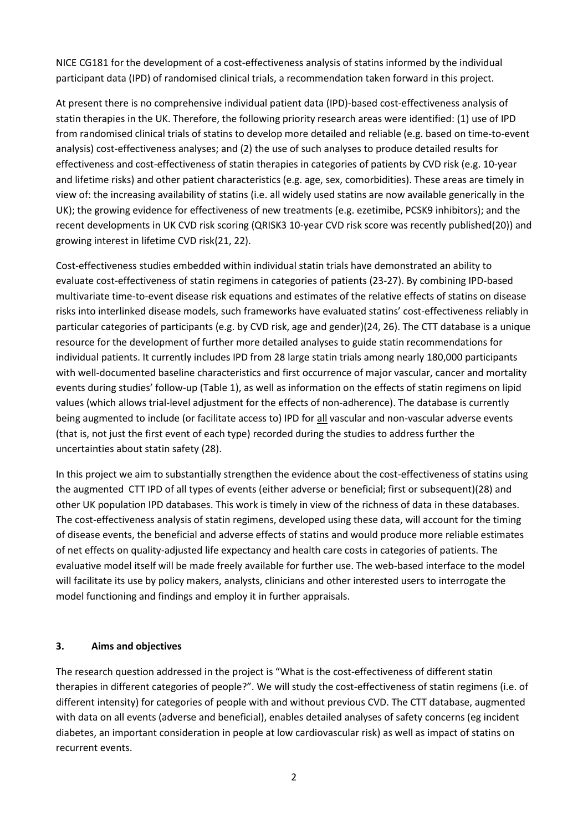NICE CG181 for the development of a cost-effectiveness analysis of statins informed by the individual participant data (IPD) of randomised clinical trials, a recommendation taken forward in this project.

At present there is no comprehensive individual patient data (IPD)-based cost-effectiveness analysis of statin therapies in the UK. Therefore, the following priority research areas were identified: (1) use of IPD from randomised clinical trials of statins to develop more detailed and reliable (e.g. based on time-to-event analysis) cost-effectiveness analyses; and (2) the use of such analyses to produce detailed results for effectiveness and cost-effectiveness of statin therapies in categories of patients by CVD risk (e.g. 10-year and lifetime risks) and other patient characteristics (e.g. age, sex, comorbidities). These areas are timely in view of: the increasing availability of statins (i.e. all widely used statins are now available generically in the UK); the growing evidence for effectiveness of new treatments (e.g. ezetimibe, PCSK9 inhibitors); and the recent developments in UK CVD risk scoring (QRISK3 10-year CVD risk score was recently published(20)) and growing interest in lifetime CVD risk(21, 22).

Cost-effectiveness studies embedded within individual statin trials have demonstrated an ability to evaluate cost-effectiveness of statin regimens in categories of patients (23-27). By combining IPD-based multivariate time-to-event disease risk equations and estimates of the relative effects of statins on disease risks into interlinked disease models, such frameworks have evaluated statins' cost-effectiveness reliably in particular categories of participants (e.g. by CVD risk, age and gender)(24, 26). The CTT database is a unique resource for the development of further more detailed analyses to guide statin recommendations for individual patients. It currently includes IPD from 28 large statin trials among nearly 180,000 participants with well-documented baseline characteristics and first occurrence of major vascular, cancer and mortality events during studies' follow-up (Table 1), as well as information on the effects of statin regimens on lipid values (which allows trial-level adjustment for the effects of non-adherence). The database is currently being augmented to include (or facilitate access to) IPD for all vascular and non-vascular adverse events (that is, not just the first event of each type) recorded during the studies to address further the uncertainties about statin safety (28).

In this project we aim to substantially strengthen the evidence about the cost-effectiveness of statins using the augmented CTT IPD of all types of events (either adverse or beneficial; first or subsequent)(28) and other UK population IPD databases. This work is timely in view of the richness of data in these databases. The cost-effectiveness analysis of statin regimens, developed using these data, will account for the timing of disease events, the beneficial and adverse effects of statins and would produce more reliable estimates of net effects on quality-adjusted life expectancy and health care costs in categories of patients. The evaluative model itself will be made freely available for further use. The web-based interface to the model will facilitate its use by policy makers, analysts, clinicians and other interested users to interrogate the model functioning and findings and employ it in further appraisals.

#### **3. Aims and objectives**

The research question addressed in the project is "What is the cost-effectiveness of different statin therapies in different categories of people?". We will study the cost-effectiveness of statin regimens (i.e. of different intensity) for categories of people with and without previous CVD. The CTT database, augmented with data on all events (adverse and beneficial), enables detailed analyses of safety concerns (eg incident diabetes, an important consideration in people at low cardiovascular risk) as well as impact of statins on recurrent events.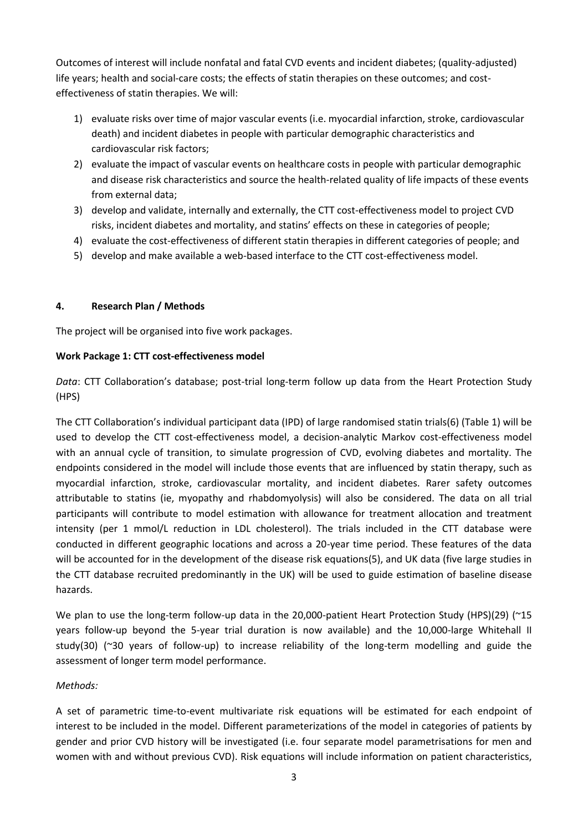Outcomes of interest will include nonfatal and fatal CVD events and incident diabetes; (quality-adjusted) life years; health and social-care costs; the effects of statin therapies on these outcomes; and costeffectiveness of statin therapies. We will:

- 1) evaluate risks over time of major vascular events (i.e. myocardial infarction, stroke, cardiovascular death) and incident diabetes in people with particular demographic characteristics and cardiovascular risk factors;
- 2) evaluate the impact of vascular events on healthcare costs in people with particular demographic and disease risk characteristics and source the health-related quality of life impacts of these events from external data;
- 3) develop and validate, internally and externally, the CTT cost-effectiveness model to project CVD risks, incident diabetes and mortality, and statins' effects on these in categories of people;
- 4) evaluate the cost-effectiveness of different statin therapies in different categories of people; and
- 5) develop and make available a web-based interface to the CTT cost-effectiveness model.

### **4. Research Plan / Methods**

The project will be organised into five work packages.

### **Work Package 1: CTT cost-effectiveness model**

*Data*: CTT Collaboration's database; post-trial long-term follow up data from the Heart Protection Study (HPS)

The CTT Collaboration's individual participant data (IPD) of large randomised statin trials(6) (Table 1) will be used to develop the CTT cost-effectiveness model, a decision-analytic Markov cost-effectiveness model with an annual cycle of transition, to simulate progression of CVD, evolving diabetes and mortality. The endpoints considered in the model will include those events that are influenced by statin therapy, such as myocardial infarction, stroke, cardiovascular mortality, and incident diabetes. Rarer safety outcomes attributable to statins (ie, myopathy and rhabdomyolysis) will also be considered. The data on all trial participants will contribute to model estimation with allowance for treatment allocation and treatment intensity (per 1 mmol/L reduction in LDL cholesterol). The trials included in the CTT database were conducted in different geographic locations and across a 20-year time period. These features of the data will be accounted for in the development of the disease risk equations(5), and UK data (five large studies in the CTT database recruited predominantly in the UK) will be used to guide estimation of baseline disease hazards.

We plan to use the long-term follow-up data in the 20,000-patient Heart Protection Study (HPS)(29) (~15 years follow-up beyond the 5-year trial duration is now available) and the 10,000-large Whitehall II study(30) (~30 years of follow-up) to increase reliability of the long-term modelling and guide the assessment of longer term model performance.

#### *Methods:*

A set of parametric time-to-event multivariate risk equations will be estimated for each endpoint of interest to be included in the model. Different parameterizations of the model in categories of patients by gender and prior CVD history will be investigated (i.e. four separate model parametrisations for men and women with and without previous CVD). Risk equations will include information on patient characteristics,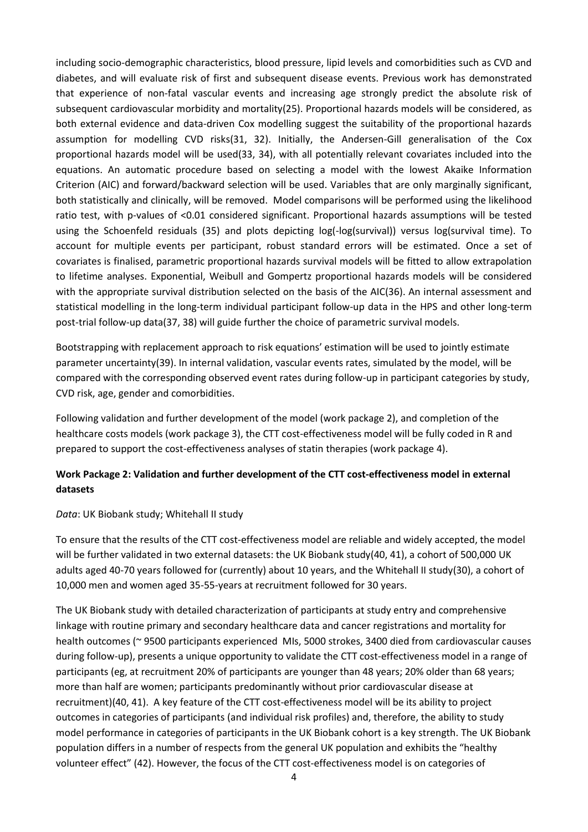including socio-demographic characteristics, blood pressure, lipid levels and comorbidities such as CVD and diabetes, and will evaluate risk of first and subsequent disease events. Previous work has demonstrated that experience of non-fatal vascular events and increasing age strongly predict the absolute risk of subsequent cardiovascular morbidity and mortality(25). Proportional hazards models will be considered, as both external evidence and data-driven Cox modelling suggest the suitability of the proportional hazards assumption for modelling CVD risks(31, 32). Initially, the Andersen-Gill generalisation of the Cox proportional hazards model will be used(33, 34), with all potentially relevant covariates included into the equations. An automatic procedure based on selecting a model with the lowest Akaike Information Criterion (AIC) and forward/backward selection will be used. Variables that are only marginally significant, both statistically and clinically, will be removed. Model comparisons will be performed using the likelihood ratio test, with p-values of <0.01 considered significant. Proportional hazards assumptions will be tested using the Schoenfeld residuals (35) and plots depicting log(-log(survival)) versus log(survival time). To account for multiple events per participant, robust standard errors will be estimated. Once a set of covariates is finalised, parametric proportional hazards survival models will be fitted to allow extrapolation to lifetime analyses. Exponential, Weibull and Gompertz proportional hazards models will be considered with the appropriate survival distribution selected on the basis of the AIC(36). An internal assessment and statistical modelling in the long-term individual participant follow-up data in the HPS and other long-term post-trial follow-up data(37, 38) will guide further the choice of parametric survival models.

Bootstrapping with replacement approach to risk equations' estimation will be used to jointly estimate parameter uncertainty(39). In internal validation, vascular events rates, simulated by the model, will be compared with the corresponding observed event rates during follow-up in participant categories by study, CVD risk, age, gender and comorbidities.

Following validation and further development of the model (work package 2), and completion of the healthcare costs models (work package 3), the CTT cost-effectiveness model will be fully coded in R and prepared to support the cost-effectiveness analyses of statin therapies (work package 4).

# **Work Package 2: Validation and further development of the CTT cost-effectiveness model in external datasets**

#### *Data*: UK Biobank study; Whitehall II study

To ensure that the results of the CTT cost-effectiveness model are reliable and widely accepted, the model will be further validated in two external datasets: the UK Biobank study(40, 41), a cohort of 500,000 UK adults aged 40-70 years followed for (currently) about 10 years, and the Whitehall II study(30), a cohort of 10,000 men and women aged 35-55-years at recruitment followed for 30 years.

The UK Biobank study with detailed characterization of participants at study entry and comprehensive linkage with routine primary and secondary healthcare data and cancer registrations and mortality for health outcomes (~ 9500 participants experienced MIs, 5000 strokes, 3400 died from cardiovascular causes during follow-up), presents a unique opportunity to validate the CTT cost-effectiveness model in a range of participants (eg, at recruitment 20% of participants are younger than 48 years; 20% older than 68 years; more than half are women; participants predominantly without prior cardiovascular disease at recruitment)(40, 41). A key feature of the CTT cost-effectiveness model will be its ability to project outcomes in categories of participants (and individual risk profiles) and, therefore, the ability to study model performance in categories of participants in the UK Biobank cohort is a key strength. The UK Biobank population differs in a number of respects from the general UK population and exhibits the "healthy volunteer effect" (42). However, the focus of the CTT cost-effectiveness model is on categories of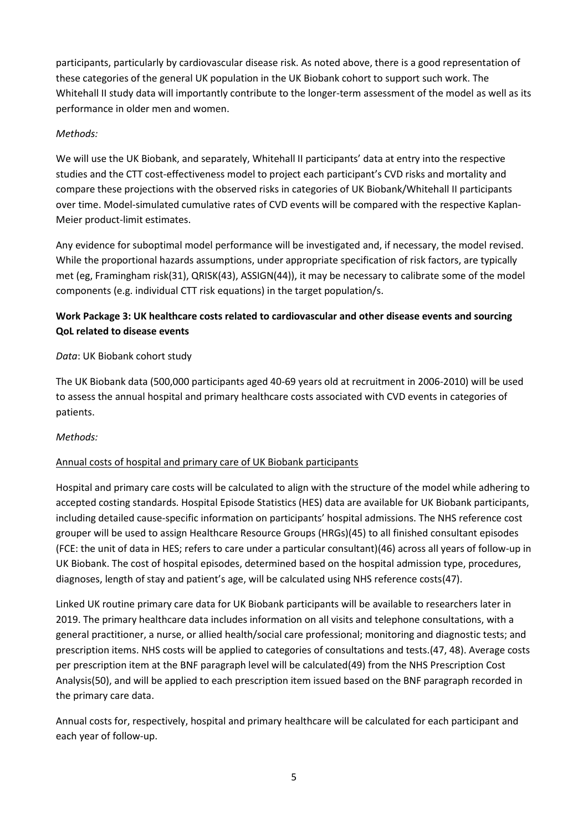participants, particularly by cardiovascular disease risk. As noted above, there is a good representation of these categories of the general UK population in the UK Biobank cohort to support such work. The Whitehall II study data will importantly contribute to the longer-term assessment of the model as well as its performance in older men and women.

# *Methods:*

We will use the UK Biobank, and separately, Whitehall II participants' data at entry into the respective studies and the CTT cost-effectiveness model to project each participant's CVD risks and mortality and compare these projections with the observed risks in categories of UK Biobank/Whitehall II participants over time. Model-simulated cumulative rates of CVD events will be compared with the respective Kaplan-Meier product-limit estimates.

Any evidence for suboptimal model performance will be investigated and, if necessary, the model revised. While the proportional hazards assumptions, under appropriate specification of risk factors, are typically met (eg, Framingham risk(31), QRISK(43), ASSIGN(44)), it may be necessary to calibrate some of the model components (e.g. individual CTT risk equations) in the target population/s.

# **Work Package 3: UK healthcare costs related to cardiovascular and other disease events and sourcing QoL related to disease events**

# *Data*: UK Biobank cohort study

The UK Biobank data (500,000 participants aged 40-69 years old at recruitment in 2006-2010) will be used to assess the annual hospital and primary healthcare costs associated with CVD events in categories of patients.

### *Methods:*

# Annual costs of hospital and primary care of UK Biobank participants

Hospital and primary care costs will be calculated to align with the structure of the model while adhering to accepted costing standards. Hospital Episode Statistics (HES) data are available for UK Biobank participants, including detailed cause-specific information on participants' hospital admissions. The NHS reference cost grouper will be used to assign Healthcare Resource Groups (HRGs)(45) to all finished consultant episodes (FCE: the unit of data in HES; refers to care under a particular consultant)(46) across all years of follow-up in UK Biobank. The cost of hospital episodes, determined based on the hospital admission type, procedures, diagnoses, length of stay and patient's age, will be calculated using NHS reference costs(47).

Linked UK routine primary care data for UK Biobank participants will be available to researchers later in 2019. The primary healthcare data includes information on all visits and telephone consultations, with a general practitioner, a nurse, or allied health/social care professional; monitoring and diagnostic tests; and prescription items. NHS costs will be applied to categories of consultations and tests.(47, 48). Average costs per prescription item at the BNF paragraph level will be calculated(49) from the NHS Prescription Cost Analysis(50), and will be applied to each prescription item issued based on the BNF paragraph recorded in the primary care data.

Annual costs for, respectively, hospital and primary healthcare will be calculated for each participant and each year of follow-up.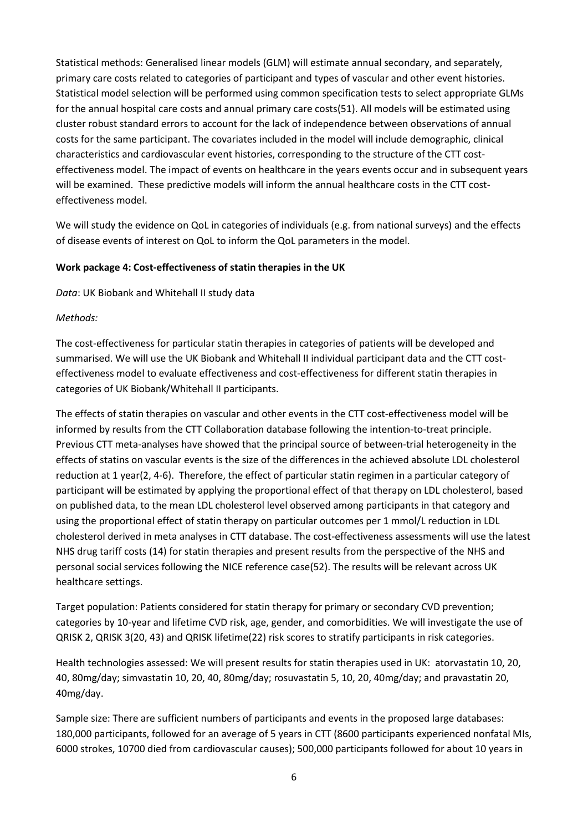Statistical methods: Generalised linear models (GLM) will estimate annual secondary, and separately, primary care costs related to categories of participant and types of vascular and other event histories. Statistical model selection will be performed using common specification tests to select appropriate GLMs for the annual hospital care costs and annual primary care costs(51). All models will be estimated using cluster robust standard errors to account for the lack of independence between observations of annual costs for the same participant. The covariates included in the model will include demographic, clinical characteristics and cardiovascular event histories, corresponding to the structure of the CTT costeffectiveness model. The impact of events on healthcare in the years events occur and in subsequent years will be examined. These predictive models will inform the annual healthcare costs in the CTT costeffectiveness model.

We will study the evidence on QoL in categories of individuals (e.g. from national surveys) and the effects of disease events of interest on QoL to inform the QoL parameters in the model.

### **Work package 4: Cost-effectiveness of statin therapies in the UK**

*Data*: UK Biobank and Whitehall II study data

### *Methods:*

The cost-effectiveness for particular statin therapies in categories of patients will be developed and summarised. We will use the UK Biobank and Whitehall II individual participant data and the CTT costeffectiveness model to evaluate effectiveness and cost-effectiveness for different statin therapies in categories of UK Biobank/Whitehall II participants.

The effects of statin therapies on vascular and other events in the CTT cost-effectiveness model will be informed by results from the CTT Collaboration database following the intention-to-treat principle. Previous CTT meta-analyses have showed that the principal source of between-trial heterogeneity in the effects of statins on vascular events is the size of the differences in the achieved absolute LDL cholesterol reduction at 1 year(2, 4-6). Therefore, the effect of particular statin regimen in a particular category of participant will be estimated by applying the proportional effect of that therapy on LDL cholesterol, based on published data, to the mean LDL cholesterol level observed among participants in that category and using the proportional effect of statin therapy on particular outcomes per 1 mmol/L reduction in LDL cholesterol derived in meta analyses in CTT database. The cost-effectiveness assessments will use the latest NHS drug tariff costs (14) for statin therapies and present results from the perspective of the NHS and personal social services following the NICE reference case(52). The results will be relevant across UK healthcare settings.

Target population: Patients considered for statin therapy for primary or secondary CVD prevention; categories by 10-year and lifetime CVD risk, age, gender, and comorbidities. We will investigate the use of QRISK 2, QRISK 3(20, 43) and QRISK lifetime(22) risk scores to stratify participants in risk categories.

Health technologies assessed: We will present results for statin therapies used in UK: atorvastatin 10, 20, 40, 80mg/day; simvastatin 10, 20, 40, 80mg/day; rosuvastatin 5, 10, 20, 40mg/day; and pravastatin 20, 40mg/day.

Sample size: There are sufficient numbers of participants and events in the proposed large databases: 180,000 participants, followed for an average of 5 years in CTT (8600 participants experienced nonfatal MIs, 6000 strokes, 10700 died from cardiovascular causes); 500,000 participants followed for about 10 years in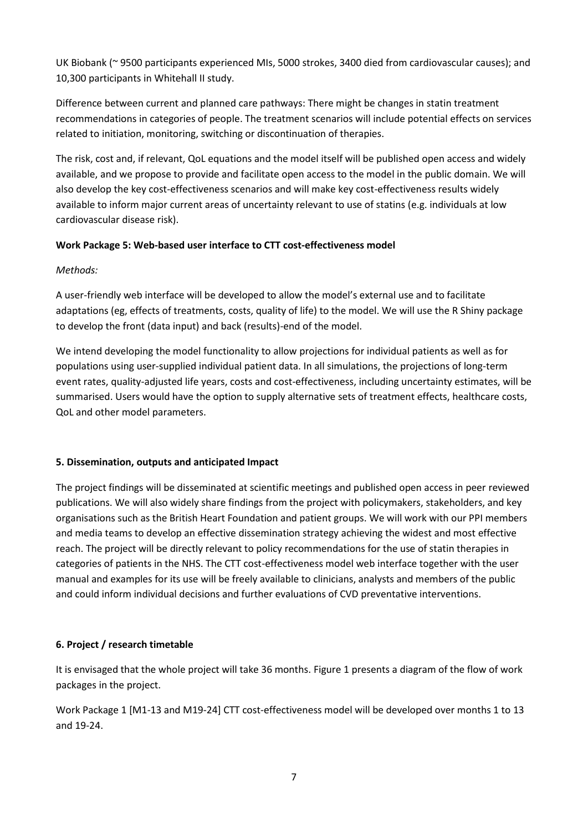UK Biobank (~ 9500 participants experienced MIs, 5000 strokes, 3400 died from cardiovascular causes); and 10,300 participants in Whitehall II study.

Difference between current and planned care pathways: There might be changes in statin treatment recommendations in categories of people. The treatment scenarios will include potential effects on services related to initiation, monitoring, switching or discontinuation of therapies.

The risk, cost and, if relevant, QoL equations and the model itself will be published open access and widely available, and we propose to provide and facilitate open access to the model in the public domain. We will also develop the key cost-effectiveness scenarios and will make key cost-effectiveness results widely available to inform major current areas of uncertainty relevant to use of statins (e.g. individuals at low cardiovascular disease risk).

# **Work Package 5: Web-based user interface to CTT cost-effectiveness model**

*Methods:*

A user-friendly web interface will be developed to allow the model's external use and to facilitate adaptations (eg, effects of treatments, costs, quality of life) to the model. We will use the R Shiny package to develop the front (data input) and back (results)-end of the model.

We intend developing the model functionality to allow projections for individual patients as well as for populations using user-supplied individual patient data. In all simulations, the projections of long-term event rates, quality-adjusted life years, costs and cost-effectiveness, including uncertainty estimates, will be summarised. Users would have the option to supply alternative sets of treatment effects, healthcare costs, QoL and other model parameters.

### **5. Dissemination, outputs and anticipated Impact**

The project findings will be disseminated at scientific meetings and published open access in peer reviewed publications. We will also widely share findings from the project with policymakers, stakeholders, and key organisations such as the British Heart Foundation and patient groups. We will work with our PPI members and media teams to develop an effective dissemination strategy achieving the widest and most effective reach. The project will be directly relevant to policy recommendations for the use of statin therapies in categories of patients in the NHS. The CTT cost-effectiveness model web interface together with the user manual and examples for its use will be freely available to clinicians, analysts and members of the public and could inform individual decisions and further evaluations of CVD preventative interventions.

# **6. Project / research timetable**

It is envisaged that the whole project will take 36 months. Figure 1 presents a diagram of the flow of work packages in the project.

Work Package 1 [M1-13 and M19-24] CTT cost-effectiveness model will be developed over months 1 to 13 and 19-24.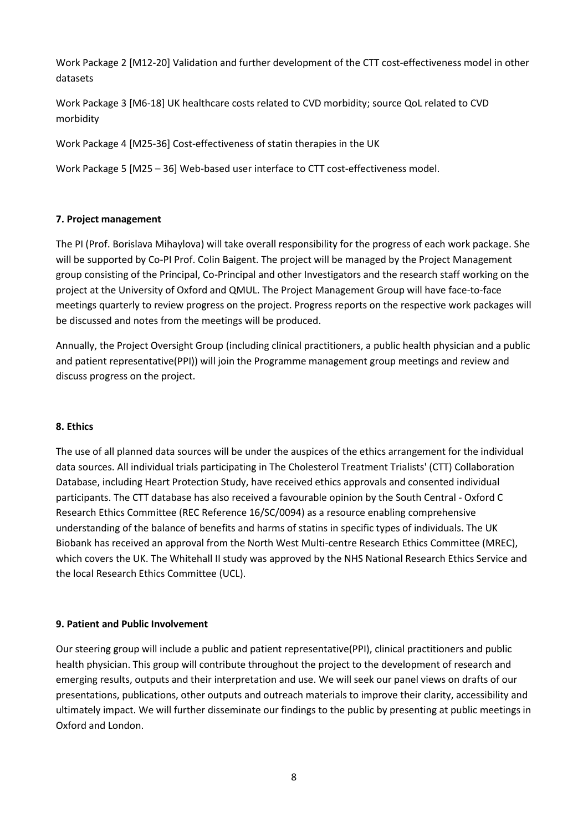Work Package 2 [M12-20] Validation and further development of the CTT cost-effectiveness model in other datasets

Work Package 3 [M6-18] UK healthcare costs related to CVD morbidity; source QoL related to CVD morbidity

Work Package 4 [M25-36] Cost-effectiveness of statin therapies in the UK

Work Package 5 [M25 – 36] Web-based user interface to CTT cost-effectiveness model.

### **7. Project management**

The PI (Prof. Borislava Mihaylova) will take overall responsibility for the progress of each work package. She will be supported by Co-PI Prof. Colin Baigent. The project will be managed by the Project Management group consisting of the Principal, Co-Principal and other Investigators and the research staff working on the project at the University of Oxford and QMUL. The Project Management Group will have face-to-face meetings quarterly to review progress on the project. Progress reports on the respective work packages will be discussed and notes from the meetings will be produced.

Annually, the Project Oversight Group (including clinical practitioners, a public health physician and a public and patient representative(PPI)) will join the Programme management group meetings and review and discuss progress on the project.

#### **8. Ethics**

The use of all planned data sources will be under the auspices of the ethics arrangement for the individual data sources. All individual trials participating in The Cholesterol Treatment Trialists' (CTT) Collaboration Database, including Heart Protection Study, have received ethics approvals and consented individual participants. The CTT database has also received a favourable opinion by the South Central - Oxford C Research Ethics Committee (REC Reference 16/SC/0094) as a resource enabling comprehensive understanding of the balance of benefits and harms of statins in specific types of individuals. The UK Biobank has received an approval from the North West Multi-centre Research Ethics Committee (MREC), which covers the UK. The Whitehall II study was approved by the NHS National Research Ethics Service and the local Research Ethics Committee (UCL).

#### **9. Patient and Public Involvement**

Our steering group will include a public and patient representative(PPI), clinical practitioners and public health physician. This group will contribute throughout the project to the development of research and emerging results, outputs and their interpretation and use. We will seek our panel views on drafts of our presentations, publications, other outputs and outreach materials to improve their clarity, accessibility and ultimately impact. We will further disseminate our findings to the public by presenting at public meetings in Oxford and London.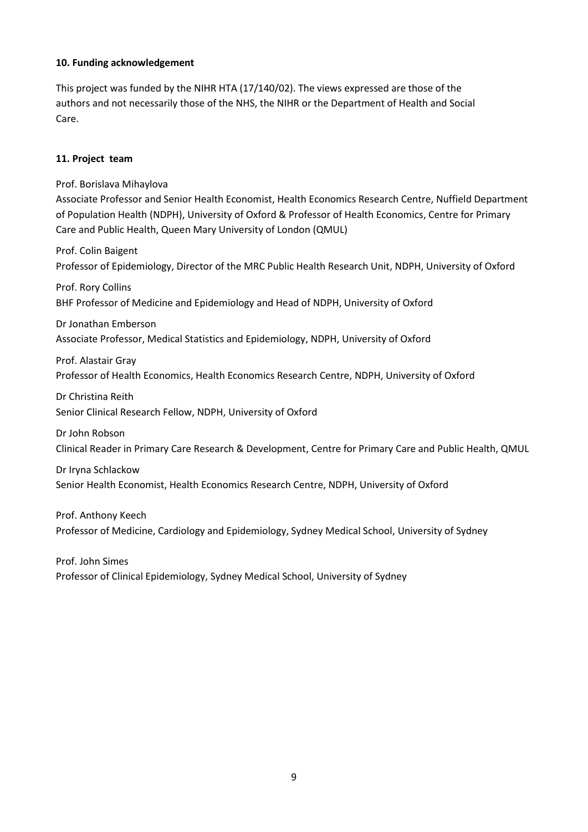### **10. Funding acknowledgement**

This project was funded by the NIHR HTA (17/140/02). The views expressed are those of the authors and not necessarily those of the NHS, the NIHR or the Department of Health and Social Care.

### **11. Project team**

Prof. Borislava Mihaylova Associate Professor and Senior Health Economist, Health Economics Research Centre, Nuffield Department of Population Health (NDPH), University of Oxford & Professor of Health Economics, Centre for Primary Care and Public Health, Queen Mary University of London (QMUL) Prof. Colin Baigent Professor of Epidemiology, Director of the MRC Public Health Research Unit, NDPH, University of Oxford Prof. Rory Collins BHF Professor of Medicine and Epidemiology and Head of NDPH, University of Oxford Dr Jonathan Emberson Associate Professor, Medical Statistics and Epidemiology, NDPH, University of Oxford Prof. Alastair Gray Professor of Health Economics, Health Economics Research Centre, NDPH, University of Oxford Dr Christina Reith Senior Clinical Research Fellow, NDPH, University of Oxford Dr John Robson Clinical Reader in Primary Care Research & Development, Centre for Primary Care and Public Health, QMUL Dr Iryna Schlackow Senior Health Economist, Health Economics Research Centre, NDPH, University of Oxford Prof. Anthony Keech

Professor of Medicine, Cardiology and Epidemiology, Sydney Medical School, University of Sydney

Prof. John Simes Professor of Clinical Epidemiology, Sydney Medical School, University of Sydney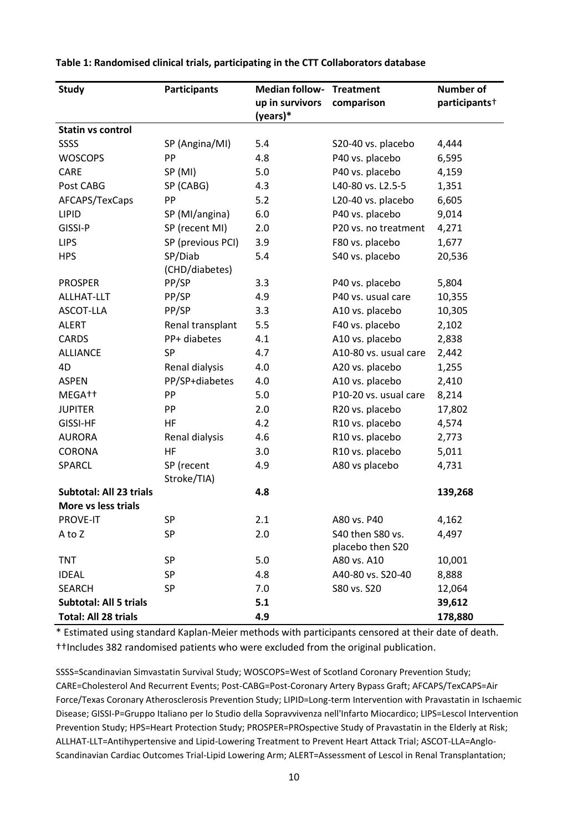| <b>Study</b>                   | <b>Participants</b> | <b>Median follow-</b>       | <b>Treatment</b>      | <b>Number of</b>          |
|--------------------------------|---------------------|-----------------------------|-----------------------|---------------------------|
|                                |                     | up in survivors<br>(years)* | comparison            | participants <sup>+</sup> |
| <b>Statin vs control</b>       |                     |                             |                       |                           |
| SSSS                           | SP (Angina/MI)      | 5.4                         | S20-40 vs. placebo    | 4,444                     |
| <b>WOSCOPS</b>                 | PP                  | 4.8                         | P40 vs. placebo       | 6,595                     |
| CARE                           | SP (MI)             | 5.0                         | P40 vs. placebo       | 4,159                     |
| Post CABG                      | SP (CABG)           | 4.3                         | L40-80 vs. L2.5-5     | 1,351                     |
| AFCAPS/TexCaps                 | PP                  | 5.2                         | L20-40 vs. placebo    | 6,605                     |
| <b>LIPID</b>                   | SP (MI/angina)      | 6.0                         | P40 vs. placebo       | 9,014                     |
| GISSI-P                        | SP (recent MI)      | 2.0                         | P20 vs. no treatment  | 4,271                     |
| <b>LIPS</b>                    | SP (previous PCI)   | 3.9                         | F80 vs. placebo       | 1,677                     |
| <b>HPS</b>                     | SP/Diab             | 5.4                         | S40 vs. placebo       | 20,536                    |
|                                | (CHD/diabetes)      |                             |                       |                           |
| <b>PROSPER</b>                 | PP/SP               | 3.3                         | P40 vs. placebo       | 5,804                     |
| ALLHAT-LLT                     | PP/SP               | 4.9                         | P40 vs. usual care    | 10,355                    |
| ASCOT-LLA                      | PP/SP               | 3.3                         | A10 vs. placebo       | 10,305                    |
| <b>ALERT</b>                   | Renal transplant    | 5.5                         | F40 vs. placebo       | 2,102                     |
| <b>CARDS</b>                   | PP+ diabetes        | 4.1                         | A10 vs. placebo       | 2,838                     |
| <b>ALLIANCE</b>                | SP                  | 4.7                         | A10-80 vs. usual care | 2,442                     |
| 4D                             | Renal dialysis      | 4.0                         | A20 vs. placebo       | 1,255                     |
| <b>ASPEN</b>                   | PP/SP+diabetes      | 4.0                         | A10 vs. placebo       | 2,410                     |
| MEGA <sup>++</sup>             | PP                  | 5.0                         | P10-20 vs. usual care | 8,214                     |
| <b>JUPITER</b>                 | PP                  | 2.0                         | R20 vs. placebo       | 17,802                    |
| <b>GISSI-HF</b>                | HF                  | 4.2                         | R10 vs. placebo       | 4,574                     |
| <b>AURORA</b>                  | Renal dialysis      | 4.6                         | R10 vs. placebo       | 2,773                     |
| <b>CORONA</b>                  | HF                  | 3.0                         | R10 vs. placebo       | 5,011                     |
| SPARCL                         | SP (recent          | 4.9                         | A80 vs placebo        | 4,731                     |
|                                | Stroke/TIA)         |                             |                       |                           |
| <b>Subtotal: All 23 trials</b> |                     | 4.8                         |                       | 139,268                   |
| More vs less trials            |                     |                             |                       |                           |
| <b>PROVE-IT</b>                | SP                  | 2.1                         | A80 vs. P40           | 4,162                     |
| A to Z                         | SP                  | 2.0                         | S40 then S80 vs.      | 4,497                     |
|                                |                     |                             | placebo then S20      |                           |
| <b>TNT</b>                     | SP                  | 5.0                         | A80 vs. A10           | 10,001                    |
| <b>IDEAL</b>                   | SP                  | 4.8                         | A40-80 vs. S20-40     | 8,888                     |
| <b>SEARCH</b>                  | SP                  | 7.0                         | S80 vs. S20           | 12,064                    |
| <b>Subtotal: All 5 trials</b>  |                     | 5.1                         |                       | 39,612                    |
| <b>Total: All 28 trials</b>    |                     | 4.9                         |                       | 178,880                   |

**Table 1: Randomised clinical trials, participating in the CTT Collaborators database** 

\* Estimated using standard Kaplan-Meier methods with participants censored at their date of death. ††Includes 382 randomised patients who were excluded from the original publication.

SSSS=Scandinavian Simvastatin Survival Study; WOSCOPS=West of Scotland Coronary Prevention Study; CARE=Cholesterol And Recurrent Events; Post-CABG=Post-Coronary Artery Bypass Graft; AFCAPS/TexCAPS=Air Force/Texas Coronary Atherosclerosis Prevention Study; LIPID=Long-term Intervention with Pravastatin in Ischaemic Disease; GISSI-P=Gruppo Italiano per lo Studio della Sopravvivenza nell'Infarto Miocardico; LIPS=Lescol Intervention Prevention Study; HPS=Heart Protection Study; PROSPER=PROspective Study of Pravastatin in the Elderly at Risk; ALLHAT-LLT=Antihypertensive and Lipid-Lowering Treatment to Prevent Heart Attack Trial; ASCOT-LLA=Anglo-Scandinavian Cardiac Outcomes Trial-Lipid Lowering Arm; ALERT=Assessment of Lescol in Renal Transplantation;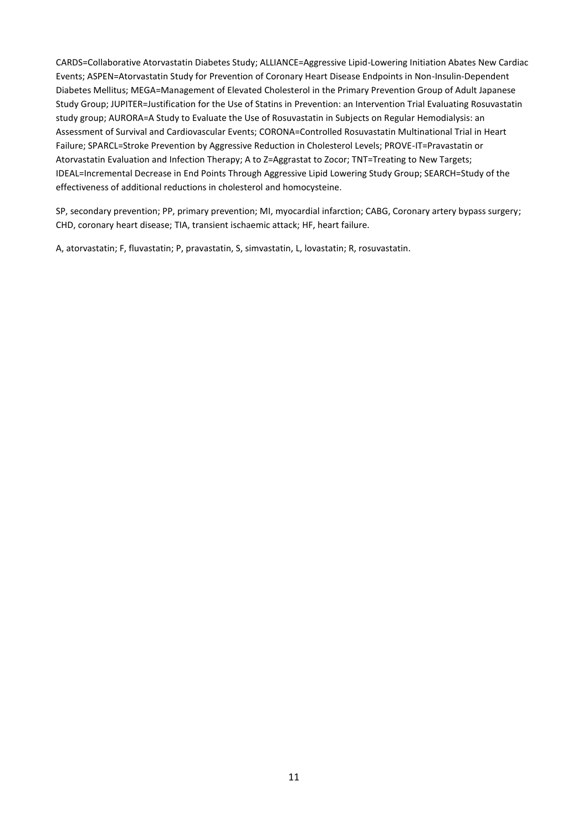CARDS=Collaborative Atorvastatin Diabetes Study; ALLIANCE=Aggressive Lipid-Lowering Initiation Abates New Cardiac Events; ASPEN=Atorvastatin Study for Prevention of Coronary Heart Disease Endpoints in Non-Insulin-Dependent Diabetes Mellitus; MEGA=Management of Elevated Cholesterol in the Primary Prevention Group of Adult Japanese Study Group; JUPITER=Justification for the Use of Statins in Prevention: an Intervention Trial Evaluating Rosuvastatin study group; AURORA=A Study to Evaluate the Use of Rosuvastatin in Subjects on Regular Hemodialysis: an Assessment of Survival and Cardiovascular Events; CORONA=Controlled Rosuvastatin Multinational Trial in Heart Failure; SPARCL=Stroke Prevention by Aggressive Reduction in Cholesterol Levels; PROVE-IT=Pravastatin or Atorvastatin Evaluation and Infection Therapy; A to Z=Aggrastat to Zocor; TNT=Treating to New Targets; IDEAL=Incremental Decrease in End Points Through Aggressive Lipid Lowering Study Group; SEARCH=Study of the effectiveness of additional reductions in cholesterol and homocysteine.

SP, secondary prevention; PP, primary prevention; MI, myocardial infarction; CABG, Coronary artery bypass surgery; CHD, coronary heart disease; TIA, transient ischaemic attack; HF, heart failure.

A, atorvastatin; F, fluvastatin; P, pravastatin, S, simvastatin, L, lovastatin; R, rosuvastatin.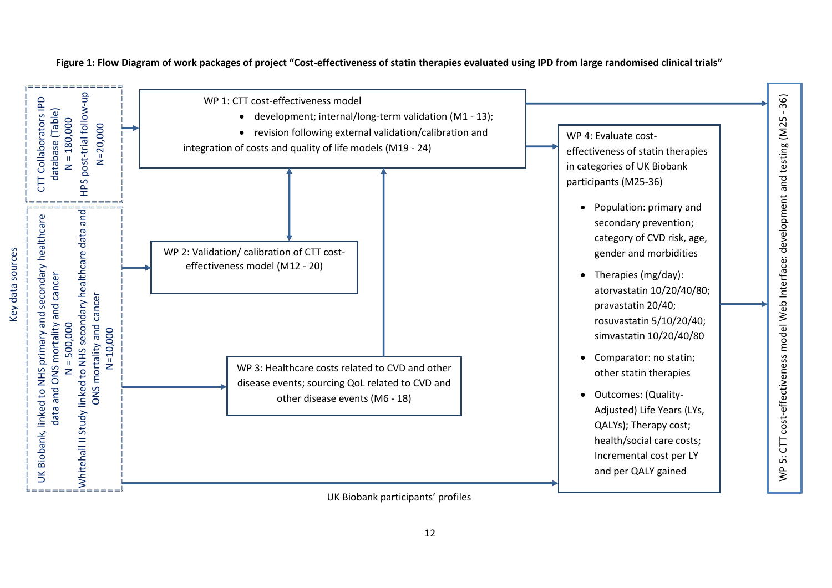

**Figure 1: Flow Diagram of work packages of project "Cost-effectiveness of statin therapies evaluated using IPD from large randomised clinical trials"**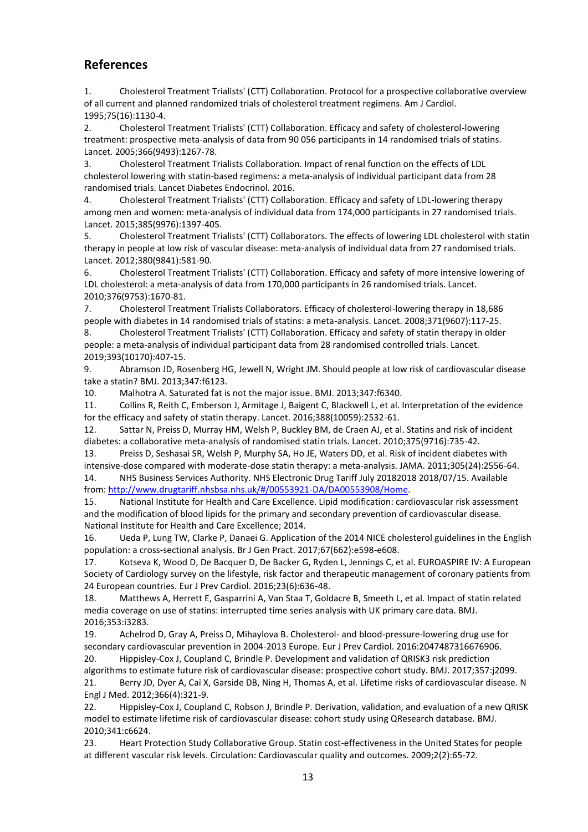# **References**

1. Cholesterol Treatment Trialists' (CTT) Collaboration. Protocol for a prospective collaborative overview of all current and planned randomized trials of cholesterol treatment regimens. Am J Cardiol. 1995;75(16):1130-4.

2. Cholesterol Treatment Trialists' (CTT) Collaboration. Efficacy and safety of cholesterol-lowering treatment: prospective meta-analysis of data from 90 056 participants in 14 randomised trials of statins. Lancet. 2005;366(9493):1267-78.

3. Cholesterol Treatment Trialists Collaboration. Impact of renal function on the effects of LDL cholesterol lowering with statin-based regimens: a meta-analysis of individual participant data from 28 randomised trials. Lancet Diabetes Endocrinol. 2016.

4. Cholesterol Treatment Trialists' (CTT) Collaboration. Efficacy and safety of LDL-lowering therapy among men and women: meta-analysis of individual data from 174,000 participants in 27 randomised trials. Lancet. 2015;385(9976):1397-405.

5. Cholesterol Treatment Trialists' (CTT) Collaborators. The effects of lowering LDL cholesterol with statin therapy in people at low risk of vascular disease: meta-analysis of individual data from 27 randomised trials. Lancet. 2012;380(9841):581-90.

6. Cholesterol Treatment Trialists' (CTT) Collaboration. Efficacy and safety of more intensive lowering of LDL cholesterol: a meta-analysis of data from 170,000 participants in 26 randomised trials. Lancet. 2010;376(9753):1670-81.

7. Cholesterol Treatment Trialists Collaborators. Efficacy of cholesterol-lowering therapy in 18,686 people with diabetes in 14 randomised trials of statins: a meta-analysis. Lancet. 2008;371(9607):117-25.

8. Cholesterol Treatment Trialists' (CTT) Collaboration. Efficacy and safety of statin therapy in older people: a meta-analysis of individual participant data from 28 randomised controlled trials. Lancet. 2019;393(10170):407-15.

9. Abramson JD, Rosenberg HG, Jewell N, Wright JM. Should people at low risk of cardiovascular disease take a statin? BMJ. 2013;347:f6123.

10. Malhotra A. Saturated fat is not the major issue. BMJ. 2013;347:f6340.

11. Collins R, Reith C, Emberson J, Armitage J, Baigent C, Blackwell L, et al. Interpretation of the evidence for the efficacy and safety of statin therapy. Lancet. 2016;388(10059):2532-61.

12. Sattar N, Preiss D, Murray HM, Welsh P, Buckley BM, de Craen AJ, et al. Statins and risk of incident diabetes: a collaborative meta-analysis of randomised statin trials. Lancet. 2010;375(9716):735-42.

13. Preiss D, Seshasai SR, Welsh P, Murphy SA, Ho JE, Waters DD, et al. Risk of incident diabetes with intensive-dose compared with moderate-dose statin therapy: a meta-analysis. JAMA. 2011;305(24):2556-64. 14. NHS Business Services Authority. NHS Electronic Drug Tariff July 20182018 2018/07/15. Available

from: [http://www.drugtariff.nhsbsa.nhs.uk/#/00553921-DA/DA00553908/Home.](http://www.drugtariff.nhsbsa.nhs.uk/#/00553921-DA/DA00553908/Home)

15. National Institute for Health and Care Excellence. Lipid modification: cardiovascular risk assessment and the modification of blood lipids for the primary and secondary prevention of cardiovascular disease. National Institute for Health and Care Excellence; 2014.

16. Ueda P, Lung TW, Clarke P, Danaei G. Application of the 2014 NICE cholesterol guidelines in the English population: a cross-sectional analysis. Br J Gen Pract. 2017;67(662):e598-e608.

17. Kotseva K, Wood D, De Bacquer D, De Backer G, Ryden L, Jennings C, et al. EUROASPIRE IV: A European Society of Cardiology survey on the lifestyle, risk factor and therapeutic management of coronary patients from 24 European countries. Eur J Prev Cardiol. 2016;23(6):636-48.

18. Matthews A, Herrett E, Gasparrini A, Van Staa T, Goldacre B, Smeeth L, et al. Impact of statin related media coverage on use of statins: interrupted time series analysis with UK primary care data. BMJ. 2016;353:i3283.

19. Achelrod D, Gray A, Preiss D, Mihaylova B. Cholesterol- and blood-pressure-lowering drug use for secondary cardiovascular prevention in 2004-2013 Europe. Eur J Prev Cardiol. 2016:2047487316676906. 20. Hippisley-Cox J, Coupland C, Brindle P. Development and validation of QRISK3 risk prediction

algorithms to estimate future risk of cardiovascular disease: prospective cohort study. BMJ. 2017;357:j2099.

21. Berry JD, Dyer A, Cai X, Garside DB, Ning H, Thomas A, et al. Lifetime risks of cardiovascular disease. N Engl J Med. 2012;366(4):321-9.

22. Hippisley-Cox J, Coupland C, Robson J, Brindle P. Derivation, validation, and evaluation of a new QRISK model to estimate lifetime risk of cardiovascular disease: cohort study using QResearch database. BMJ. 2010;341:c6624.

23. Heart Protection Study Collaborative Group. Statin cost-effectiveness in the United States for people at different vascular risk levels. Circulation: Cardiovascular quality and outcomes. 2009;2(2):65-72.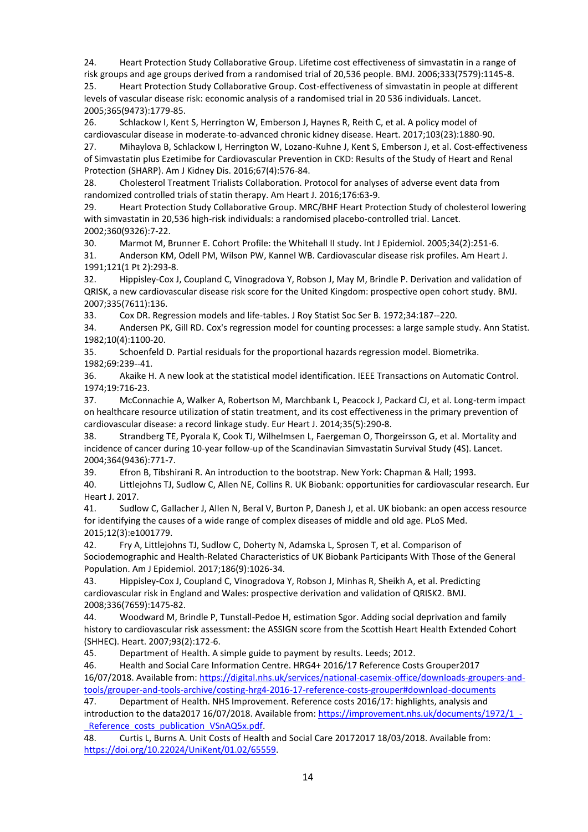24. Heart Protection Study Collaborative Group. Lifetime cost effectiveness of simvastatin in a range of risk groups and age groups derived from a randomised trial of 20,536 people. BMJ. 2006;333(7579):1145-8. 25. Heart Protection Study Collaborative Group. Cost-effectiveness of simvastatin in people at different

levels of vascular disease risk: economic analysis of a randomised trial in 20 536 individuals. Lancet. 2005;365(9473):1779-85.

26. Schlackow I, Kent S, Herrington W, Emberson J, Haynes R, Reith C, et al. A policy model of cardiovascular disease in moderate-to-advanced chronic kidney disease. Heart. 2017;103(23):1880-90. 27. Mihaylova B, Schlackow I, Herrington W, Lozano-Kuhne J, Kent S, Emberson J, et al. Cost-effectiveness

of Simvastatin plus Ezetimibe for Cardiovascular Prevention in CKD: Results of the Study of Heart and Renal Protection (SHARP). Am J Kidney Dis. 2016;67(4):576-84.

28. Cholesterol Treatment Trialists Collaboration. Protocol for analyses of adverse event data from randomized controlled trials of statin therapy. Am Heart J. 2016;176:63-9.

29. Heart Protection Study Collaborative Group. MRC/BHF Heart Protection Study of cholesterol lowering with simvastatin in 20,536 high-risk individuals: a randomised placebo-controlled trial. Lancet. 2002;360(9326):7-22.

30. Marmot M, Brunner E. Cohort Profile: the Whitehall II study. Int J Epidemiol. 2005;34(2):251-6.

31. Anderson KM, Odell PM, Wilson PW, Kannel WB. Cardiovascular disease risk profiles. Am Heart J. 1991;121(1 Pt 2):293-8.

32. Hippisley-Cox J, Coupland C, Vinogradova Y, Robson J, May M, Brindle P. Derivation and validation of QRISK, a new cardiovascular disease risk score for the United Kingdom: prospective open cohort study. BMJ. 2007;335(7611):136.

33. Cox DR. Regression models and life-tables. J Roy Statist Soc Ser B. 1972;34:187--220.

34. Andersen PK, Gill RD. Cox's regression model for counting processes: a large sample study. Ann Statist. 1982;10(4):1100-20.

35. Schoenfeld D. Partial residuals for the proportional hazards regression model. Biometrika. 1982;69:239--41.

36. Akaike H. A new look at the statistical model identification. IEEE Transactions on Automatic Control. 1974;19:716-23.

37. McConnachie A, Walker A, Robertson M, Marchbank L, Peacock J, Packard CJ, et al. Long-term impact on healthcare resource utilization of statin treatment, and its cost effectiveness in the primary prevention of cardiovascular disease: a record linkage study. Eur Heart J. 2014;35(5):290-8.

38. Strandberg TE, Pyorala K, Cook TJ, Wilhelmsen L, Faergeman O, Thorgeirsson G, et al. Mortality and incidence of cancer during 10-year follow-up of the Scandinavian Simvastatin Survival Study (4S). Lancet. 2004;364(9436):771-7.

39. Efron B, Tibshirani R. An introduction to the bootstrap. New York: Chapman & Hall; 1993.

40. Littlejohns TJ, Sudlow C, Allen NE, Collins R. UK Biobank: opportunities for cardiovascular research. Eur Heart J. 2017.

41. Sudlow C, Gallacher J, Allen N, Beral V, Burton P, Danesh J, et al. UK biobank: an open access resource for identifying the causes of a wide range of complex diseases of middle and old age. PLoS Med. 2015;12(3):e1001779.

42. Fry A, Littlejohns TJ, Sudlow C, Doherty N, Adamska L, Sprosen T, et al. Comparison of Sociodemographic and Health-Related Characteristics of UK Biobank Participants With Those of the General Population. Am J Epidemiol. 2017;186(9):1026-34.

43. Hippisley-Cox J, Coupland C, Vinogradova Y, Robson J, Minhas R, Sheikh A, et al. Predicting cardiovascular risk in England and Wales: prospective derivation and validation of QRISK2. BMJ. 2008;336(7659):1475-82.

44. Woodward M, Brindle P, Tunstall-Pedoe H, estimation Sgor. Adding social deprivation and family history to cardiovascular risk assessment: the ASSIGN score from the Scottish Heart Health Extended Cohort (SHHEC). Heart. 2007;93(2):172-6.

45. Department of Health. A simple guide to payment by results. Leeds; 2012.

46. Health and Social Care Information Centre. HRG4+ 2016/17 Reference Costs Grouper2017 16/07/2018. Available from: [https://digital.nhs.uk/services/national-casemix-office/downloads-groupers-and](https://digital.nhs.uk/services/national-casemix-office/downloads-groupers-and-tools/grouper-and-tools-archive/costing-hrg4-2016-17-reference-costs-grouper#download-documents)[tools/grouper-and-tools-archive/costing-hrg4-2016-17-reference-costs-grouper#download-documents](https://digital.nhs.uk/services/national-casemix-office/downloads-groupers-and-tools/grouper-and-tools-archive/costing-hrg4-2016-17-reference-costs-grouper#download-documents)

47. Department of Health. NHS Improvement. Reference costs 2016/17: highlights, analysis and introduction to the data2017 16/07/2018. Available from: https://improvement.nhs.uk/documents/1972/1 -Reference costs publication VSnAQ5x.pdf.

48. Curtis L, Burns A. Unit Costs of Health and Social Care 20172017 18/03/2018. Available from: [https://doi.org/10.22024/UniKent/01.02/65559.](https://doi.org/10.22024/UniKent/01.02/65559)